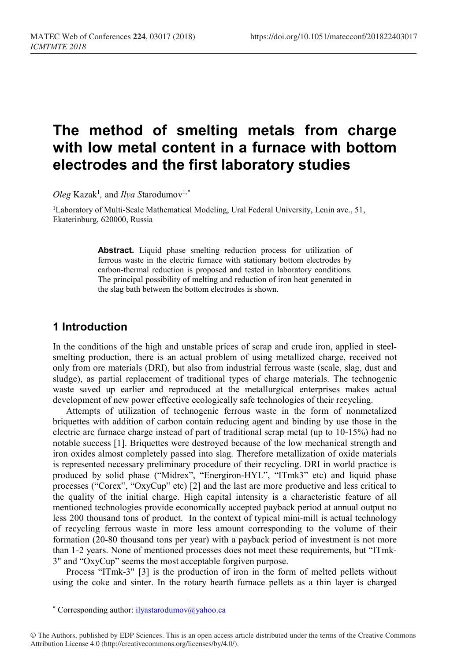# **The method of smelting metals from charge with low metal content in a furnace with bottom electrodes and the first laboratory studies**

 $Oleg$  Kazak<sup>1</sup>, and *Ilya S*tarodumov<sup>1,[\\*](#page-0-0)</sup>

<sup>1</sup>Laboratory of Multi-Scale Mathematical Modeling, Ural Federal University, Lenin ave., 51, Ekaterinburg, 620000, Russia

> **Abstract.** Liquid phase smelting reduction process for utilization of ferrous waste in the electric furnace with stationary bottom electrodes by carbon-thermal reduction is proposed and tested in laboratory conditions. The principal possibility of melting and reduction of iron heat generated in the slag bath between the bottom electrodes is shown.

### **1 Introduction**

In the conditions of the high and unstable prices of scrap and crude iron, applied in steelsmelting production, there is an actual problem of using metallized charge, received not only from ore materials (DRI), but also from industrial ferrous waste (scale, slag, dust and sludge), as partial replacement of traditional types of charge materials. The technogenic waste saved up earlier and reproduced at the metallurgical enterprises makes actual development of new power effective ecologically safe technologies of their recycling.

Attempts of utilization of technogenic ferrous waste in the form of nonmetalized briquettes with addition of carbon contain reducing agent and binding by use those in the electric arc furnace charge instead of part of traditional scrap metal (up to 10-15%) had no notable success [1]. Briquettes were destroyed because of the low mechanical strength and iron oxides almost completely passed into slag. Therefore metallization of oxide materials is represented necessary preliminary procedure of their recycling. DRI in world practice is produced by solid phase ("Midrex", "Energiron-HYL", "ITmk3" etc) and liquid phase processes ("Corex", "OxyCup" etc) [2] and the last are more productive and less critical to the quality of the initial charge. High capital intensity is a characteristic feature of all mentioned technologies provide economically accepted payback period at annual output no less 200 thousand tons of product. In the context of typical mini-mill is actual technology of recycling ferrous waste in more less amount corresponding to the volume of their formation (20-80 thousand tons per year) with a payback period of investment is not more than 1-2 years. None of mentioned processes does not meet these requirements, but "ITmk-3" and "OxyCup" seems the most acceptable forgiven purpose.

Process "ITmk-3" [3] is the production of iron in the form of melted pellets without using the coke and sinter. In the rotary hearth furnace pellets as a thin layer is charged

l

<sup>\*</sup> Corresponding author: ilyastarodumov@yahoo.ca

<span id="page-0-0"></span><sup>©</sup> The Authors, published by EDP Sciences. This is an open access article distributed under the terms of the Creative Commons Attribution License 4.0 (http://creativecommons.org/licenses/by/4.0/).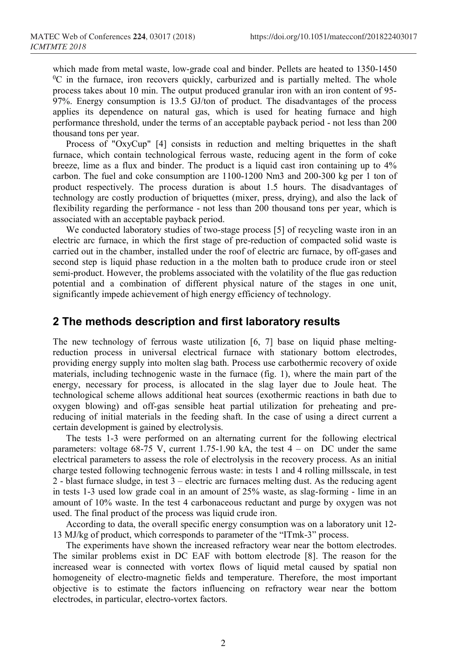which made from metal waste, low-grade coal and binder. Pellets are heated to 1350-1450  ${}^{0}C$  in the furnace, iron recovers quickly, carburized and is partially melted. The whole process takes about 10 min. The output produced granular iron with an iron content of 95- 97%. Energy consumption is 13.5 GJ/ton of product. The disadvantages of the process applies its dependence on natural gas, which is used for heating furnace and high performance threshold, under the terms of an acceptable payback period - not less than 200 thousand tons per year.

Process of "OxyCup" [4] consists in reduction and melting briquettes in the shaft furnace, which contain technological ferrous waste, reducing agent in the form of coke breeze, lime as a flux and binder. The product is a liquid cast iron containing up to 4% carbon. The fuel and coke consumption are 1100-1200 Nm3 and 200-300 kg per 1 ton of product respectively. The process duration is about 1.5 hours. The disadvantages of technology are costly production of briquettes (mixer, press, drying), and also the lack of flexibility regarding the performance - not less than 200 thousand tons per year, which is associated with an acceptable payback period.

We conducted laboratory studies of two-stage process [5] of recycling waste iron in an electric arc furnace, in which the first stage of pre-reduction of compacted solid waste is carried out in the chamber, installed under the roof of electric arc furnace, by off-gases and second step is liquid phase reduction in a the molten bath to produce crude iron or steel semi-product. However, the problems associated with the volatility of the flue gas reduction potential and a combination of different physical nature of the stages in one unit, significantly impede achievement of high energy efficiency of technology.

#### **2 The methods description and first laboratory results**

The new technology of ferrous waste utilization [6, 7] base on liquid phase meltingreduction process in universal electrical furnace with stationary bottom electrodes, providing energy supply into molten slag bath. Process use carbothermic recovery of oxide materials, including technogenic waste in the furnace (fig. 1), where the main part of the energy, necessary for process, is allocated in the slag layer due to Joule heat. The technological scheme allows additional heat sources (exothermic reactions in bath due to oxygen blowing) and off-gas sensible heat partial utilization for preheating and prereducing of initial materials in the feeding shaft. In the case of using a direct current a certain development is gained by electrolysis.

The tests 1-3 were performed on an alternating current for the following electrical parameters: voltage  $68-75$  V, current 1.75-1.90 kA, the test  $4 -$  on DC under the same electrical parameters to assess the role of electrolysis in the recovery process. As an initial charge tested following technogenic ferrous waste: in tests 1 and 4 rolling millsscale, in test 2 - blast furnace sludge, in test 3 – electric arc furnaces melting dust. As the reducing agent in tests 1-3 used low grade coal in an amount of 25% waste, as slag-forming - lime in an amount of 10% waste. In the test 4 carbonaceous reductant and purge by oxygen was not used. The final product of the process was liquid crude iron.

According to data, the overall specific energy consumption was on a laboratory unit 12- 13 MJ/kg of product, which corresponds to parameter of the "ITmk-3" process.

The experiments have shown the increased refractory wear near the bottom electrodes. The similar problems exist in DC EAF with bottom electrode [8]. The reason for the increased wear is connected with vortex flows of liquid metal caused by spatial non homogeneity of electro-magnetic fields and temperature. Therefore, the most important objective is to estimate the factors influencing on refractory wear near the bottom electrodes, in particular, electro-vortex factors.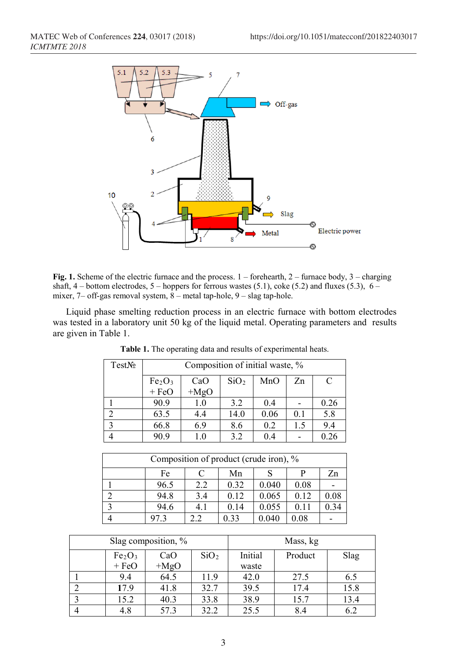

**Fig. 1.** Scheme of the electric furnace and the process.  $1 -$  forehearth,  $2 -$  furnace body,  $3 -$  charging shaft, 4 – bottom electrodes, 5 – hoppers for ferrous wastes (5.1), coke (5.2) and fluxes (5.3),  $6$ mixer,  $7$ – off-gas removal system,  $8$  – metal tap-hole,  $9$  – slag tap-hole.

Liquid phase smelting reduction process in an electric furnace with bottom electrodes was tested in a laboratory unit 50 kg of the liquid metal. Operating parameters and results are given in Table 1.

| TestN <sub>2</sub> | Composition of initial waste, % |         |                  |      |     |      |
|--------------------|---------------------------------|---------|------------------|------|-----|------|
|                    | $Fe2O3$<br>+ FeO<br>CaO         |         | SiO <sub>2</sub> | MnO  | Zn  | C    |
|                    |                                 | $+MgO$  |                  |      |     |      |
|                    | 90.9                            | 1.0     | 3.2              | 0.4  |     | 0.26 |
|                    | 63.5                            | 4.4     | 14.0             | 0.06 | 0.1 | 5.8  |
|                    | 66.8                            | 6.9     | 8.6              | 0.2  | 1.5 | 9.4  |
|                    | 90.9                            | $1.0\,$ | 3.2              | 0.4  |     |      |

| Table 1. The operating data and results of experimental heats. |  |  |  |  |
|----------------------------------------------------------------|--|--|--|--|
|----------------------------------------------------------------|--|--|--|--|

| Composition of product (crude iron), % |      |     |      |       |      |      |  |
|----------------------------------------|------|-----|------|-------|------|------|--|
|                                        | Fe   | C   | Mn   |       |      | Zn   |  |
|                                        | 96.5 | 2.2 | 0.32 | 0.040 | 0.08 |      |  |
|                                        | 94.8 | 3.4 | 0.12 | 0.065 | 0.12 | 0.08 |  |
| $\mathbf{\overline{2}}$                | 94.6 | 4.1 | 0.14 | 0.055 | 0.11 | 0.34 |  |
|                                        | 97.3 |     | 0.33 | 0.040 | 0.08 |      |  |

| Slag composition, % |                                |        |                  | Mass, kg |         |      |  |
|---------------------|--------------------------------|--------|------------------|----------|---------|------|--|
|                     | Fe <sub>2</sub> O <sub>3</sub> | CaO    | SiO <sub>2</sub> | Initial  | Product | Slag |  |
|                     | $+$ FeO                        | $+MgO$ |                  | waste    |         |      |  |
|                     | 9.4                            | 64.5   | 11.9             | 42.0     | 27.5    | 6.5  |  |
|                     | 17.9                           | 41.8   | 32.7             | 39.5     | 17.4    | 15.8 |  |
|                     | 15.2                           | 40.3   | 33.8             | 38.9     | 15.7    | 13.4 |  |
|                     | 4.8                            | 57.3   | 32.2             | 25.5     | 8.4     | 6.2  |  |